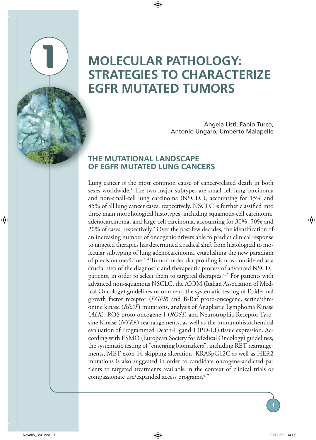## **MOLECULAR PATHOLOGY: STRATEGIES TO CHARACTERIZE EGFR MUTATED TUMORS**

Angela Listì, Fabio Turco, Antonio Ungaro, Umberto Malapelle

## **THE MUTATIONAL LANDSCAPE OF EGFR MUTATED LUNG CANCERS**

**1**

Lung cancer is the most common cause of cancer-related death in both sexes worldwide.<sup>1</sup> The two major subtypes are small-cell lung carcinoma and non-small-cell lung carcinoma (NSCLC), accounting for 15% and 85% of all lung cancer cases, respectively. NSCLC is further classified into three main morphological histotypes, including squamous-cell carcinoma, adenocarcinoma, and large-cell carcinoma, accounting for 30%, 50% and 20% of cases, respectively.2 Over the past few decades, the identification of an increasing number of oncogenic drivers able to predict clinical response to targeted therapies has determined a radical shift from histological to molecular subtyping of lung adenocarcinoma, establishing the new paradigm of precision medicine.3, 4 Tumor molecular profiling is now considered as a crucial step of the diagnostic and therapeutic process of advanced NSCLC patients, in order to select them to targeted therapies.<sup> $4,5$ </sup> For patients with advanced non-squamous NSCLC, the AIOM (Italian Association of Medical Oncology) guidelines recommend the systematic testing of Epidermal growth factor receptor (*EGFR*) and B-Raf proto-oncogene, serine/threonine kinase (*BRAF*) mutations, analysis of Anaplastic Lymphoma Kinase (*ALK*), ROS proto-oncogene 1 (*ROS1*) and Neurotrophic Receptor Tyrosine Kinase (*NTRK*) rearrangements, as well as the immunohistochemical evaluation of Programmed Death-Ligand 1 (PD-L1) tissue expression. According with ESMO (European Society for Medical Oncology) guidelines, the systematic testing of "emerging biomarkers", including RET rearrangements, MET exon 14 skipping alteration, KRASpG12C as well as HER2 mutations is also suggested in order to candidate oncogene-addicted patients to targeted treatments available in the context of clinical trials or compassionate use/expanded access programs.6, 7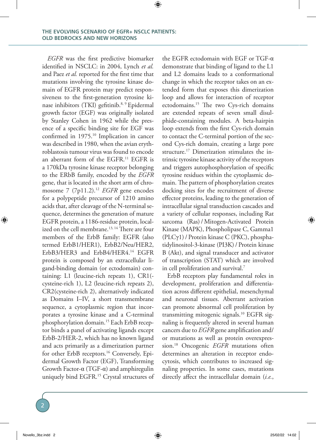*EGFR* was the first predictive biomarker identified in NSCLC: in 2004, Lynch *et al.* and Paez *et al.* reported for the first time that mutations involving the tyrosine kinase domain of EGFR protein may predict responsiveness to the first-generation tyrosine kinase inhibitors (TKI) gefitinib.<sup>8, 9</sup> Epidermal growth factor (EGF) was originally isolated by Stanley Cohen in 1962 while the presence of a specific binding site for EGF was confirmed in 1975.10 Implication in cancer was described in 1980, when the avian erythroblastosis tumour virus was found to encode an aberrant form of the EGFR.11 EGFR is a 170kDa tyrosine kinase receptor belonging to the ERbB family, encoded by the *EGFR* gene, that is located in the short arm of chromosome 7 (7p11.2).<sup>12</sup> *EGFR* gene encodes for a polypeptide precursor of 1210 amino acids that, after cleavage of the N-terminal sequence, determines the generation of mature EGFR protein, a 1186-residue protein, localized on the cell membrane.<sup>13, 14</sup> There are four members of the ErbB family: EGFR (also termed ErbB1/HER1), ErbB2/Neu/HER2, ErbB3/HER3 and ErbB4/HER4.14 EGFR protein is composed by an extracellular ligand-binding domain (or ectodomain) containing: L1 (leucine-rich repeats 1), CR1( cysteine-rich 1), L2 (leucine-rich repeats 2), CR2(cysteine-rich 2), alternatively indicated as Domains I–IV, a short transmembrane sequence, a cytoplasmic region that incorporates a tyrosine kinase and a C-terminal phosphorylation domain.15 Each ErbB receptor binds a panel of activating ligands except ErbB-2/HER-2, which has no known ligand and acts primarily as a dimerization partner for other ErbB receptors.16 Conversely, Epidermal Growth Factor (EGF), Transforming Growth Factor-α (TGF-α) and amphiregulin uniquely bind EGFR.15 Crystal structures of

the EGFR ectodomain with EGF or TGF-α demonstrate that binding of ligand to the L1 and L2 domains leads to a conformational change in which the receptor takes on an extended form that exposes this dimerization loop and allows for interaction of receptor ectodomains.15 The two Cys-rich domains are extended repeats of seven small disulphide-containing modules. A beta-hairpin loop extends from the first Cys-rich domain to contact the C-terminal portion of the second Cys-rich domain, creating a large pore structure.<sup>17</sup> Dimerization stimulates the intrinsic tyrosine kinase activity of the receptors and triggers autophosphorylation of specific tyrosine residues within the cytoplasmic domain. The pattern of phosphorylation creates docking sites for the recruitment of diverse effector proteins, leading to the generation of intracellular signal transduction cascades and a variety of cellular responses, including Rat sarcoma (Ras)/ Mitogen-Activated Protein Kinase (MAPK), Phospholipase C, Gamma1 (PLCγ1)/ Protein kinase C (PKC), phosphatidylinositol-3-kinase (PI3K)/ Protein kinase B (Akt), and signal transducer and activator of transcription (STAT) which are involved in cell proliferation and survival.7

ErbB receptors play fundamental roles in development, proliferation and differentiation across different epithelial, mesenchymal and neuronal tissues. Aberrant activation can promote abnormal cell proliferation by transmitting mitogenic signals.10 EGFR signaling is frequently altered in several human cancers due to *EGFR* gene amplification and/ or mutations as well as protein overexpression.18 Oncogenic *EGFR* mutations often determines an alteration in receptor endocytosis, which contributes to increased signaling properties. In some cases, mutations directly affect the intracellular domain (*i.e.*,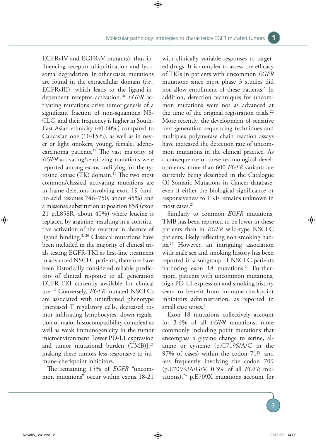EGFRvIV and EGFRvV mutants), thus influencing receptor ubiquitination and lysosomal degradation. In other cases, mutations are found in the extracellular domain (*i.e.*, EGFRvIII), which leads to the ligand-independent receptor activation.18 *EGFR* activating mutations drive tumorigenesis of a significant fraction of non-squamous NS-CLC, and their frequency is higher in South-East Asian ethnicity (40-60%) compared to Caucasian one (10-15%), as well as in never or light smokers, young, female, adenocarcinoma patients.12 The vast majority of *EGFR* activating/sensitizing mutations were reported among exons codifying for the tyrosine kinase (TK) domain.19 The two most common/classical activating mutations are in-frame deletions involving exon 19 (amino acid residues 746–750, about 45%) and a missense substitution at position 858 (exon 21 p.L858R, about 40%) where leucine is replaced by arginine, resulting in a constitutive activation of the receptor in absence of ligand binding.3, 20 Classical mutations have been included in the majority of clinical trials testing EGFR-TKI as first-line treatment in advanced NSCLC patients, therefore have been historically considered reliable predictors of clinical response to all generation EGFR-TKI currently available for clinical use.16 Conversely, *EGFR*-mutated NSCLCs are associated with uninflamed phenotype (increased T regulatory cells, decreased tumor infiltrating lymphocytes, down-regulation of major histocompatibility complex) as well as weak immunogenicity in the tumor microenvironment [lower PD-L1 expression and tumor mutational burden  $(TMB$ ],<sup>21</sup> making these tumors less responsive to immune-checkpoint inhibitors.

The remaining 15% of *EGFR* "uncommon mutations" occur within exons 18-21

with clinically variable responses to targeted drugs. It is complex to assess the efficacy of TKIs in patients with uncommon *EGFR* mutations since most phase 3 studies did not allow enrollment of these patients.<sup>5</sup> In addition, detection techniques for uncommon mutations were not as advanced at the time of the original registration trials.<sup>22</sup> More recently, the development of sensitive next-generation sequencing techniques and multiplex polymerase chain reaction assays have increased the detection rate of uncommon mutations in the clinical practice. As a consequence of these technological developments, more than 600 *EGFR* variants are currently being described in the Catalogue Of Somatic Mutations in Cancer database, even if either the biological significance or responsiveness to TKIs remains unknown in most cases.<sup>21</sup>

Similarly to common *EGFR* mutations, TMB has been reported to be lower in these patients than in *EGFR* wild-type NSCLC patients, likely reflecting non‐smoking habits.23 However, an intriguing association with male sex and smoking history has been reported in a subgroup of NSCLC patients harboring exon 18 mutations.<sup>24</sup> Furthermore, patients with uncommon mutations, high PD-L1 expression and smoking history seem to benefit from immune-checkpoint inhibitors administration, as reported in small case series.<sup>4</sup>

Exon 18 mutations collectively account for 3-4% of all *EGFR* mutations, more commonly including point mutations that encompass a glycine change to serine, alanine or cysteine (p.G719S/A/C in the 97% of cases) within the codon 719, and less frequently involving the codon 709 (p.E709K/A/G/V, 0.3% of all *EGFR* mutations).24 p.E709X mutations account for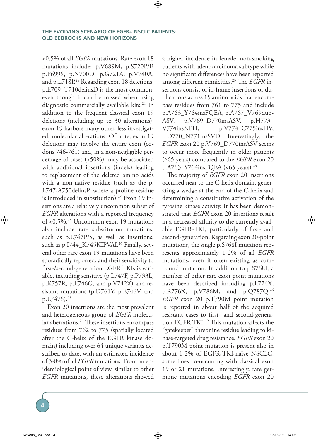<0.5% of all *EGFR* mutations. Rare exon 18 mutations include: p.V689M, p.S720P/F, p.P699S, p.N700D, p.G721A, p.V740A, and p.L718P.<sup>25</sup> Regarding exon 18 deletions, p.E709\_T710delinsD is the most common, even though it can be missed when using diagnostic commercially available kits.<sup>24</sup> In addition to the frequent classical exon 19 deletions (including up to 30 alterations), exon 19 harbors many other, less investigated, molecular alterations. Of note, exon 19 deletions may involve the entire exon (codons 746-761) and, in a non-negligible percentage of cases (>50%), may be associated with additional insertions (indels) leading to replacement of the deleted amino acids with a non-native residue (such as the p. L747-A750delinsP, where a proline residue is introduced in substitution).<sup>24</sup> Exon 19 insertions are a relatively uncommon subset of *EGFR* alterations with a reported frequency of <0.5%.25 Uncommon exon 19 mutations also include rare substitution mutations, such as p.L747P/S, as well as insertions, such as p.I744 K745KIPVAI.<sup>26</sup> Finally, several other rare exon 19 mutations have been sporadically reported, and their sensitivity to first-/second-generation EGFR TKIs is variable, including sensitive (p.L747F, p.P733L, p.K757R, p.E746G, and p.V742X) and resistant mutations (p.D761Y, p.E746V, and p.L747S).25

Exon 20 insertions are the most prevalent and heterogeneous group of *EGFR* molecular aberrations.<sup>26</sup> These insertions encompass residues from 762 to 775 (spatially located after the C-helix of the EGFR kinase domain) including over 64 unique variants described to date, with an estimated incidence of 3-8% of all *EGFR* mutations. From an epidemiological point of view, similar to other *EGFR* mutations, these alterations showed a higher incidence in female, non-smoking patients with adenocarcinoma subtype while no significant differences have been reported among different ethnicities.23 The *EGFR* insertions consist of in-frame insertions or duplications across 15 amino acids that encompass residues from 761 to 775 and include p.A763\_Y764insFQEA, p.A767\_V769dup-ASV, p.V769\_D770insASV, p.H773\_ V774insNPH, p.V774\_C775insHV, p.D770\_N771insSVD. Interestingly, the *EGFR* exon 20 p.V769\_D770insASV seems to occur more frequently in older patients (≥65 years) compared to the *EGFR* exon 20 p.A763\_Y764insFQEA (<65 years).23

The majority of *EGFR* exon 20 insertions occurred near to the C-helix domain, generating a wedge at the end of the C-helix and determining a constitutive activation of the tyrosine kinase activity. It has been demonstrated that *EGFR* exon 20 insertions result in a decreased affinity to the currently available EGFR-TKI, particularly of first- and second-generation. Regarding exon 20-point mutations, the single p.S768I mutation represents approximately 1-2% of all *EGFR* mutations, even if often existing as compound mutation. In addition to p.S768I, a number of other rare exon point mutations have been described including p.L774X, p.R776X, p.V786M, and p.Q787Q.26 *EGFR* exon 20 p.T790M point mutation is reported in about half of the acquired resistant cases to first- and second-generation EGFR TKI.<sup>19</sup> This mutation affects the "gatekeeper" threonine residue leading to kinase-targeted drug resistance. *EGFR* exon 20 p.T790M point mutation is present also in about 1-2% of EGFR-TKI-naïve NSCLC, sometimes co-occurring with classical exon 19 or 21 mutations. Interestingly, rare germline mutations encoding *EGFR* exon 20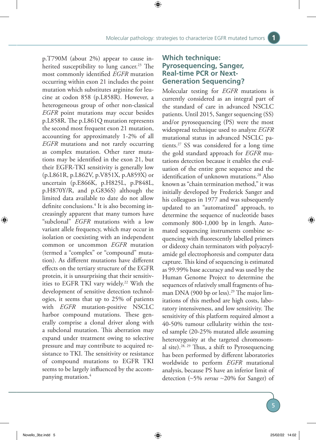p.T790M (about 2%) appear to cause inherited susceptibility to lung cancer.<sup>23</sup> The most commonly identified *EGFR* mutation occurring within exon 21 includes the point mutation which substitutes arginine for leucine at codon 858 (p.L858R). However, a heterogeneous group of other non-classical *EGFR* point mutations may occur besides p.L858R. The p.L861Q mutation represents the second most frequent exon 21 mutation, accounting for approximately 1-2% of all *EGFR* mutations and not rarely occurring as complex mutation. Other rarer mutations may be identified in the exon 21, but their EGFR-TKI sensitivity is generally low (p.L861R, p.L862V, p.V851X, p.A859X) or uncertain (p.E866K, p.H825L, p.P848L, p.H870Y/R, and p.G836S) although the limited data available to date do not allow definite conclusions.4 It is also becoming increasingly apparent that many tumors have "subclonal" *EGFR* mutations with a low variant allele frequency, which may occur in isolation or coexisting with an independent common or uncommon *EGFR* mutation (termed a "complex" or "compound" mutation). As different mutations have different effects on the tertiary structure of the EGFR protein, it is unsurprising that their sensitivities to EGFR TKI vary widely.<sup>22</sup> With the development of sensitive detection technologies, it seems that up to 25% of patients with *EGFR* mutation-positive NSCLC harbor compound mutations. These generally comprise a clonal driver along with a subclonal mutation. This aberration may expand under treatment owing to selective pressure and may contribute to acquired resistance to TKI. The sensitivity or resistance of compound mutations to EGFR TKI seems to be largely influenced by the accompanying mutation.4

## **Which technique: Pyrosequencing, Sanger, Real-time PCR or Next-Generation Sequencing?**

Molecular testing for *EGFR* mutations is currently considered as an integral part of the standard of care in advanced NSCLC patients. Until 2015, Sanger sequencing (SS) and/or pyrosequencing (PS) were the most widespread technique used to analyze *EGFR* mutational status in advanced NSCLC patients.27 SS was considered for a long time the gold standard approach for *EGFR* mutations detection because it enables the evaluation of the entire gene sequence and the identification of unknown mutations.<sup>28</sup> Also known as "chain termination method," it was initially developed by Frederick Sanger and his colleagues in 1977 and was subsequently updated to an "automatized" approach, to determine the sequence of nucleotide bases commonly 800-1,000 bp in length. Automated sequencing instruments combine sequencing with fluorescently labelled primers or dideoxy chain terminators with polyacrylamide gel electrophoresis and computer data capture. This kind of sequencing is estimated as 99.99% base accuracy and was used by the Human Genome Project to determine the sequences of relatively small fragments of human DNA (900 bp or less).<sup>29</sup> The major limitations of this method are high costs, laboratory intensiveness, and low sensitivity. The sensitivity of this platform required almost a 40-50% tumour cellularity within the tested sample (20-25% mutated allele assuming heterozygosity at the targeted chromosomal site).28, 29 Thus, a shift to Pyrosequencing has been performed by different laboratories worldwide to perform *EGFR* mutational analysis, because PS have an inferior limit of detection (~5% *versus* ~20% for Sanger) of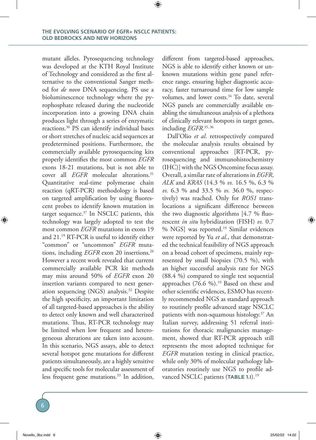mutant alleles. Pyrosequencing technology was developed at the KTH Royal Institute of Technology and considered as the first alternative to the conventional Sanger method for *de novo* DNA sequencing. PS use a bioluminescence technology where the pyrophosphate released during the nucleotide incorporation into a growing DNA chain produces light through a series of enzymatic reactions.30 PS can identify individual bases or short stretches of nucleic acid sequences at predetermined positions. Furthermore, the commercially available pyrosequencing kits properly identifies the most common *EGFR* exons 18-21 mutations, but is not able to cover all *EGFR* molecular alterations.<sup>31</sup> Quantitative real-time polymerase chain reaction (qRT-PCR) methodology is based on targeted amplification by using fluorescent probes to identify known mutation in target sequence.<sup>37</sup> In NSCLC patients, this technology was largely adopted to test the most common *EGFR* mutations in exons 19 and 21.19 RT-PCR is useful to identify either "common" or "uncommon" *EGFR* mutations, including *EGFR* exon 20 insertions.<sup>26</sup> However a recent work revealed that current commercially available PCR kit methods may miss around 50% of *EGFR* exon 20 insertion variants compared to next generation sequencing (NGS) analysis.32 Despite the high specificity, an important limitation of all targeted-based approaches is the ability to detect only known and well characterized mutations. Thus, RT-PCR technology may be limited when low frequent and heterogeneous alterations are taken into account. In this scenario, NGS assays, able to detect several hotspot gene mutations for different patients simultaneously, are a highly sensitive and specific tools for molecular assessment of less frequent gene mutations.<sup>33</sup> In addition,

different from targeted-based approaches, NGS is able to identify either known or unknown mutations within gene panel reference range, ensuring higher diagnostic accuracy, faster turnaround time for low sample volumes, and lower costs.<sup>34</sup> To date, several NGS panels are commercially available enabling the simultaneous analysis of a plethora of clinically relevant hotspots in target genes, including *EGFR.*35, 36

Dall'Olio *et al*. retrospectively compared the molecular analysis results obtained by conventional approaches [RT-PCR, pyrosequencing and immunohistochemistry (IHC)] with the NGS Oncomine focus assay. Overall, a similar rate of alterations in *EGFR*, *ALK* and *KRAS* (14.3 % *vs.* 16.5 %, 6.3 % *vs.* 6.3 % and 33.5 % *vs.* 36.0 %, respectively) was reached. Only for *ROS1* translocations a significant difference between the two diagnostic algorithms [4.7 % fluorescent *in situ* hybridization (FISH) *vs.* 0.7 % NGS] was reported.<sup>19</sup> Similar evidences were reported by Yu *et al*., that demonstrated the technical feasibility of NGS approach on a broad cohort of specimens, mainly represented by small biopsies (70.5 %), with an higher successful analysis rate for NGS (88.4 %) compared to single test sequential approaches  $(76.6 \%)$ .<sup>19</sup> Based on these and other scientific evidences, ESMO has recently recommended NGS as standard approach to routinely profile advanced stage NSCLC patients with non-squamous histology.37 An Italian survey, addressing 51 referral institutions for thoracic malignancies management, showed that RT-PCR approach still represents the most adopted technique for *EGFR* mutation testing in clinical practice, while only 30% of molecular pathology laboratories routinely use NGS to profile advanced NSCLC patients (TABLE 1.1).<sup>19</sup>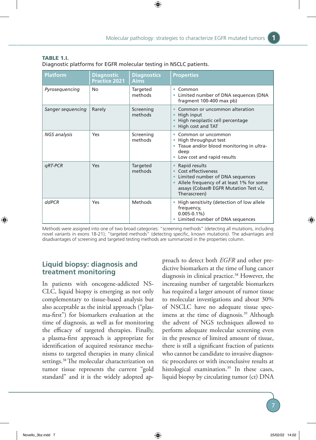| <b>Platform</b>   | <b>Diagnostic</b><br><b>Practice 2021</b> | <b>Diagnostics</b><br><b>Aims</b> | <b>Properties</b>                                                                                                                                                           |
|-------------------|-------------------------------------------|-----------------------------------|-----------------------------------------------------------------------------------------------------------------------------------------------------------------------------|
| Pyrosequencing    | No                                        | Targeted<br>methods               | Common<br>۰<br>Limited number of DNA sequences (DNA<br>۰<br>fragment 100-400 max pb)                                                                                        |
| Sanger seguencing | Rarely                                    | Screening<br>methods              | Common or uncommon alteration<br>High input<br>$\bullet$<br>High neoplastic cell percentage<br>High cost and TAT                                                            |
| NGS analysis      | Yes                                       | Screening<br>methods              | Common or uncommon<br>۰<br>High throughput test<br>۰<br>Tissue and/or blood monitoring in ultra-<br>deep<br>Low cost and rapid results<br>$\bullet$                         |
| qRT-PCR           | Yes                                       | Targeted<br>methods               | Rapid results<br>Cost effectiveness<br>Limited number of DNA sequences<br>Allele frequency of at least 1% for some<br>assays (Cobas® EGFR Mutation Test v2,<br>Therascreen) |
| ddPCR             | Yes                                       | Methods                           | High sensitivity (detection of low allele<br>$\bullet$<br>frequency,<br>$0.005 - 0.1\%$<br>Limited number of DNA sequences<br>۰                                             |

| <b>TABLE 1.I.</b>                                                  |  |  |
|--------------------------------------------------------------------|--|--|
| Diagnostic platforms for EGFR molecular testing in NSCLC patients. |  |  |

Methods were assigned into one of two broad categories: "screening methods" (detecting all mutations, including novel variants in exons 18-21); "targeted methods" (detecting specific, known mutations). The advantages and disadvantages of screening and targeted testing methods are summarized in the properties column.

## **Liquid biopsy: diagnosis and treatment monitoring**

In patients with oncogene-addicted NS-CLC, liquid biopsy is emerging as not only complementary to tissue-based analysis but also acceptable as the initial approach ("plasma-first") for biomarkers evaluation at the time of diagnosis, as well as for monitoring the efficacy of targeted therapies. Finally, a plasma-first approach is appropriate for identification of acquired resistance mechanisms to targeted therapies in many clinical settings.38 The molecular characterization on tumor tissue represents the current "gold standard" and it is the widely adopted ap-

proach to detect both *EGFR* and other predictive biomarkers at the time of lung cancer diagnosis in clinical practice.<sup>38</sup> However, the increasing number of targetable biomarkers has required a larger amount of tumor tissue to molecular investigations and about 30% of NSCLC have no adequate tissue specimens at the time of diagnosis.<sup>39</sup> Although the advent of NGS techniques allowed to perform adequate molecular screening even in the presence of limited amount of tissue, there is still a significant fraction of patients who cannot be candidate to invasive diagnostic procedures or with inconclusive results at histological examination.<sup>39</sup> In these cases, liquid biopsy by circulating tumor (ct) DNA